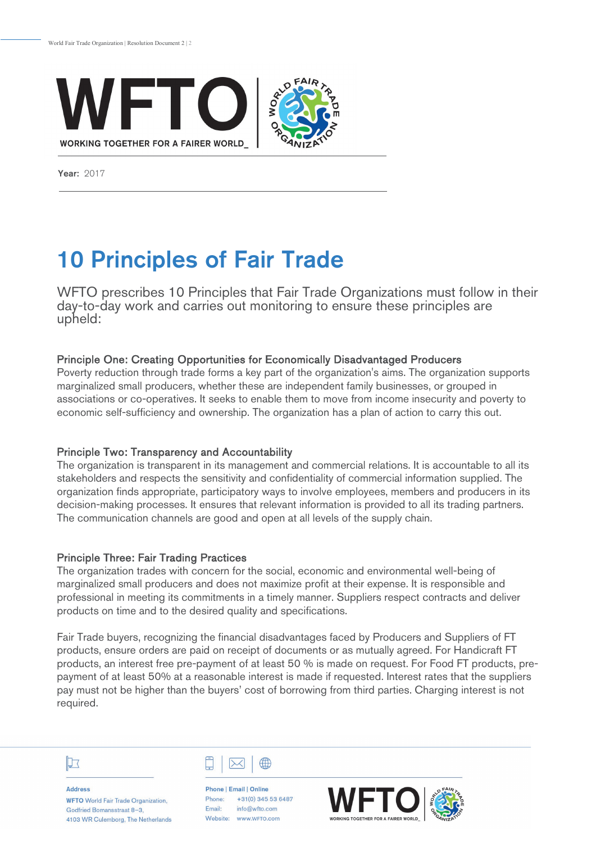

Year: 2017

# 10 Principles of Fair Trade

WFTO prescribes 10 Principles that Fair Trade Organizations must follow in their day-to-day work and carries out monitoring to ensure these principles are upheld:

# Principle One: Creating Opportunities for Economically Disadvantaged Producers

Poverty reduction through trade forms a key part of the organization's aims. The organization supports marginalized small producers, whether these are independent family businesses, or grouped in associations or co-operatives. It seeks to enable them to move from income insecurity and poverty to economic self-sufficiency and ownership. The organization has a plan of action to carry this out.

## Principle Two: Transparency and Accountability

The organization is transparent in its management and commercial relations. It is accountable to all its stakeholders and respects the sensitivity and confidentiality of commercial information supplied. The organization finds appropriate, participatory ways to involve employees, members and producers in its decision-making processes. It ensures that relevant information is provided to all its trading partners. The communication channels are good and open at all levels of the supply chain.

## Principle Three: Fair Trading Practices

The organization trades with concern for the social, economic and environmental well-being of marginalized small producers and does not maximize profit at their expense. It is responsible and professional in meeting its commitments in a timely manner. Suppliers respect contracts and deliver products on time and to the desired quality and specifications.

Fair Trade buyers, recognizing the financial disadvantages faced by Producers and Suppliers of FT products, ensure orders are paid on receipt of documents or as mutually agreed. For Handicraft FT products, an interest free pre-payment of at least 50 % is made on request. For Food FT products, prepayment of at least 50% at a reasonable interest is made if requested. Interest rates that the suppliers pay must not be higher than the buyers' cost of borrowing from third parties. Charging interest is not required.

# IJт

**Address WFTO** World Fair Trade Organization, Godfried Bomansstraat 8-3. 4103 WR Culemborg, The Netherlands



Phone | Email | Online +31(0) 345 53 6487 Phone: Email: info@wfto.com Website: www.wFTO.com

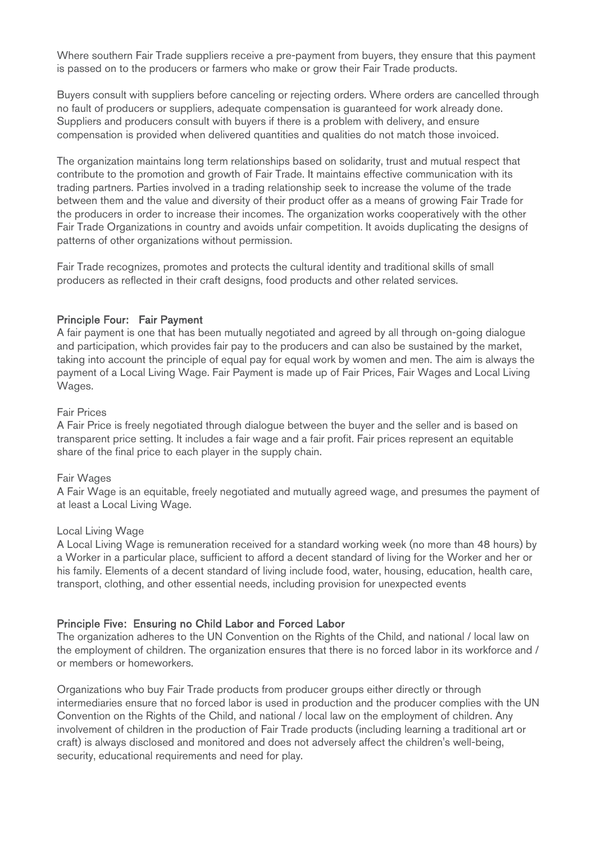Where southern Fair Trade suppliers receive a pre-payment from buyers, they ensure that this payment is passed on to the producers or farmers who make or grow their Fair Trade products.

Buyers consult with suppliers before canceling or rejecting orders. Where orders are cancelled through no fault of producers or suppliers, adequate compensation is guaranteed for work already done. Suppliers and producers consult with buyers if there is a problem with delivery, and ensure compensation is provided when delivered quantities and qualities do not match those invoiced.

The organization maintains long term relationships based on solidarity, trust and mutual respect that contribute to the promotion and growth of Fair Trade. It maintains effective communication with its trading partners. Parties involved in a trading relationship seek to increase the volume of the trade between them and the value and diversity of their product offer as a means of growing Fair Trade for the producers in order to increase their incomes. The organization works cooperatively with the other Fair Trade Organizations in country and avoids unfair competition. It avoids duplicating the designs of patterns of other organizations without permission.

Fair Trade recognizes, promotes and protects the cultural identity and traditional skills of small producers as reflected in their craft designs, food products and other related services.

#### Principle Four: Fair Payment

A fair payment is one that has been mutually negotiated and agreed by all through on-going dialogue and participation, which provides fair pay to the producers and can also be sustained by the market, taking into account the principle of equal pay for equal work by women and men. The aim is always the payment of a Local Living Wage. Fair Payment is made up of Fair Prices, Fair Wages and Local Living Wages.

#### Fair Prices

A Fair Price is freely negotiated through dialogue between the buyer and the seller and is based on transparent price setting. It includes a fair wage and a fair profit. Fair prices represent an equitable share of the final price to each player in the supply chain.

#### Fair Wages

A Fair Wage is an equitable, freely negotiated and mutually agreed wage, and presumes the payment of at least a Local Living Wage.

#### Local Living Wage

A Local Living Wage is remuneration received for a standard working week (no more than 48 hours) by a Worker in a particular place, sufficient to afford a decent standard of living for the Worker and her or his family. Elements of a decent standard of living include food, water, housing, education, health care, transport, clothing, and other essential needs, including provision for unexpected events

## Principle Five: Ensuring no Child Labor and Forced Labor

The organization adheres to the UN Convention on the Rights of the Child, and national / local law on the employment of children. The organization ensures that there is no forced labor in its workforce and / or members or homeworkers.

Organizations who buy Fair Trade products from producer groups either directly or through intermediaries ensure that no forced labor is used in production and the producer complies with the UN Convention on the Rights of the Child, and national / local law on the employment of children. Any involvement of children in the production of Fair Trade products (including learning a traditional art or craft) is always disclosed and monitored and does not adversely affect the children's well-being, security, educational requirements and need for play.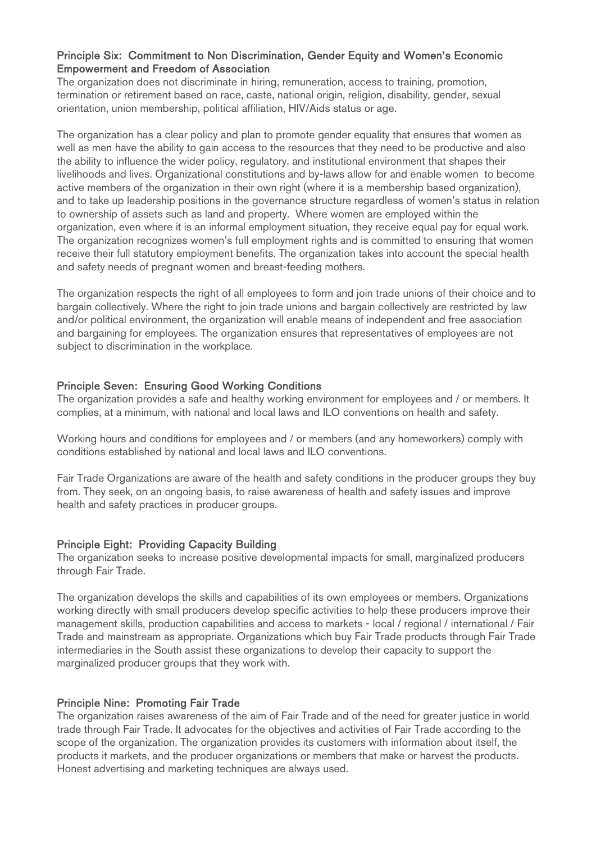## Principle Six: Commitment to Non Discrimination, Gender Equity and Women's Economic Empowerment and Freedom of Association

The organization does not discriminate in hiring, remuneration, access to training, promotion, termination or retirement based on race, caste, national origin, religion, disability, gender, sexual orientation, union membership, political affiliation, HIV/Aids status or age.

The organization has a clear policy and plan to promote gender equality that ensures that women as well as men have the ability to gain access to the resources that they need to be productive and also the ability to influence the wider policy, regulatory, and institutional environment that shapes their livelihoods and lives. Organizational constitutions and by-laws allow for and enable women to become active members of the organization in their own right (where it is a membership based organization), and to take up leadership positions in the governance structure regardless of women's status in relation to ownership of assets such as land and property. Where women are employed within the organization, even where it is an informal employment situation, they receive equal pay for equal work. The organization recognizes women's full employment rights and is committed to ensuring that women receive their full statutory employment benefits. The organization takes into account the special health and safety needs of pregnant women and breast-feeding mothers.

The organization respects the right of all employees to form and join trade unions of their choice and to bargain collectively. Where the right to join trade unions and bargain collectively are restricted by law and/or political environment, the organization will enable means of independent and free association and bargaining for employees. The organization ensures that representatives of employees are not subject to discrimination in the workplace.

# Principle Seven: Ensuring Good Working Conditions

The organization provides a safe and healthy working environment for employees and / or members. It complies, at a minimum, with national and local laws and ILO conventions on health and safety.

Working hours and conditions for employees and / or members (and any homeworkers) comply with conditions established by national and local laws and ILO conventions.

Fair Trade Organizations are aware of the health and safety conditions in the producer groups they buy from. They seek, on an ongoing basis, to raise awareness of health and safety issues and improve health and safety practices in producer groups.

## Principle Eight: Providing Capacity Building

The organization seeks to increase positive developmental impacts for small, marginalized producers through Fair Trade.

The organization develops the skills and capabilities of its own employees or members. Organizations working directly with small producers develop specific activities to help these producers improve their management skills, production capabilities and access to markets - local / regional / international / Fair Trade and mainstream as appropriate. Organizations which buy Fair Trade products through Fair Trade intermediaries in the South assist these organizations to develop their capacity to support the marginalized producer groups that they work with.

## Principle Nine: Promoting Fair Trade

The organization raises awareness of the aim of Fair Trade and of the need for greater justice in world trade through Fair Trade. It advocates for the objectives and activities of Fair Trade according to the scope of the organization. The organization provides its customers with information about itself, the products it markets, and the producer organizations or members that make or harvest the products. Honest advertising and marketing techniques are always used.